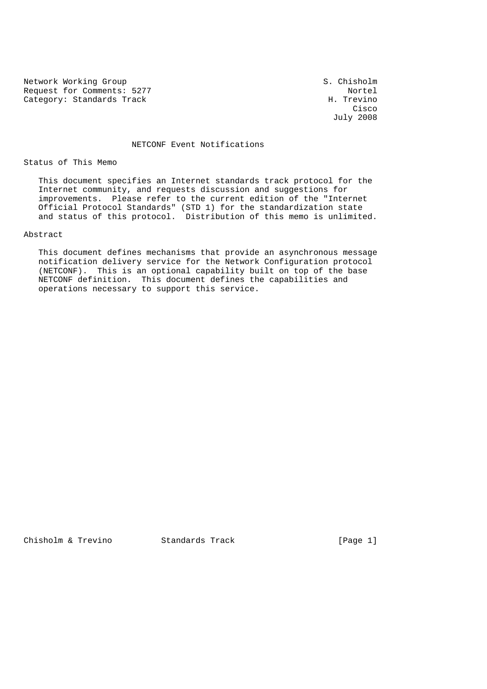Network Working Group S. Chisholm Request for Comments: 5277<br>
Category: Standards Track<br>
H. Trevino Category: Standards Track

**Cisco de la contrata de la contrata de la contrata de la contrata de la contrata de la contrata de la contrat** July 2008

#### NETCONF Event Notifications

Status of This Memo

 This document specifies an Internet standards track protocol for the Internet community, and requests discussion and suggestions for improvements. Please refer to the current edition of the "Internet Official Protocol Standards" (STD 1) for the standardization state and status of this protocol. Distribution of this memo is unlimited.

### Abstract

 This document defines mechanisms that provide an asynchronous message notification delivery service for the Network Configuration protocol (NETCONF). This is an optional capability built on top of the base NETCONF definition. This document defines the capabilities and operations necessary to support this service.

Chisholm & Trevino Standards Track [Page 1]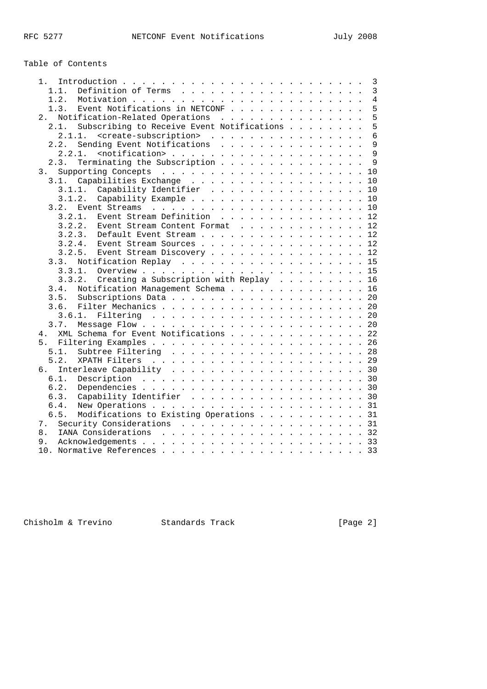# Table of Contents

| 1. |                                                        |  |  |  |  |  |  |  | 3               |
|----|--------------------------------------------------------|--|--|--|--|--|--|--|-----------------|
|    | 1.1.                                                   |  |  |  |  |  |  |  | $\overline{3}$  |
|    | 1.2.                                                   |  |  |  |  |  |  |  | $\overline{4}$  |
|    | Event Notifications in NETCONF<br>1.3.                 |  |  |  |  |  |  |  | 5               |
| 2. | Notification-Related Operations                        |  |  |  |  |  |  |  | 5               |
|    | Subscribing to Receive Event Notifications<br>2.1.     |  |  |  |  |  |  |  | 5               |
|    | <create-subscription><br/>2.1.1.</create-subscription> |  |  |  |  |  |  |  | $6\overline{6}$ |
|    | Sending Event Notifications<br>2.2.                    |  |  |  |  |  |  |  | 9               |
|    | 2.2.1.                                                 |  |  |  |  |  |  |  | 9               |
|    | Terminating the Subscription<br>2.3.                   |  |  |  |  |  |  |  | 9               |
| 3. |                                                        |  |  |  |  |  |  |  | 10              |
|    | Capabilities Exchange<br>3.1.                          |  |  |  |  |  |  |  | 10              |
|    | 3.1.1.                                                 |  |  |  |  |  |  |  | 10              |
|    | Capability Identifier                                  |  |  |  |  |  |  |  |                 |
|    | Capability Example<br>3.1.2.                           |  |  |  |  |  |  |  | 10              |
|    | 3.2.                                                   |  |  |  |  |  |  |  | 10              |
|    | Event Stream Definition<br>3.2.1.                      |  |  |  |  |  |  |  | 12              |
|    | 3.2.2.<br>Event Stream Content Format 12               |  |  |  |  |  |  |  |                 |
|    | 3.2.3.                                                 |  |  |  |  |  |  |  | 12              |
|    | 3.2.4.<br>Event Stream Sources 12                      |  |  |  |  |  |  |  |                 |
|    | 3.2.5.<br>Event Stream Discovery 12                    |  |  |  |  |  |  |  |                 |
|    | 3.3.                                                   |  |  |  |  |  |  |  | 15              |
|    | 3.3.1.                                                 |  |  |  |  |  |  |  |                 |
|    | Creating a Subscription with Replay 16<br>3.3.2.       |  |  |  |  |  |  |  |                 |
|    | Notification Management Schema 16<br>3.4.              |  |  |  |  |  |  |  |                 |
|    | 3.5.                                                   |  |  |  |  |  |  |  | 20              |
|    | 3.6.                                                   |  |  |  |  |  |  |  |                 |
|    | 3.6.1.                                                 |  |  |  |  |  |  |  |                 |
|    | 3.7.                                                   |  |  |  |  |  |  |  | 20              |
| 4. | XML Schema for Event Notifications 22                  |  |  |  |  |  |  |  |                 |
| 5. |                                                        |  |  |  |  |  |  |  | 26              |
|    | 5.1.                                                   |  |  |  |  |  |  |  |                 |
|    |                                                        |  |  |  |  |  |  |  |                 |
|    | 5.2.                                                   |  |  |  |  |  |  |  |                 |
| რ. |                                                        |  |  |  |  |  |  |  |                 |
|    | 6.1.                                                   |  |  |  |  |  |  |  |                 |
|    | 6.2.                                                   |  |  |  |  |  |  |  |                 |
|    | Capability Identifier 30<br>6.3.                       |  |  |  |  |  |  |  |                 |
|    | 6.4.                                                   |  |  |  |  |  |  |  | 31              |
|    | Modifications to Existing Operations 31<br>6.5.        |  |  |  |  |  |  |  |                 |
| 7. | Security Considerations 31                             |  |  |  |  |  |  |  |                 |
| 8. |                                                        |  |  |  |  |  |  |  |                 |
| 9. |                                                        |  |  |  |  |  |  |  |                 |
|    |                                                        |  |  |  |  |  |  |  |                 |
|    |                                                        |  |  |  |  |  |  |  |                 |

Chisholm & Trevino Standards Track [Page 2]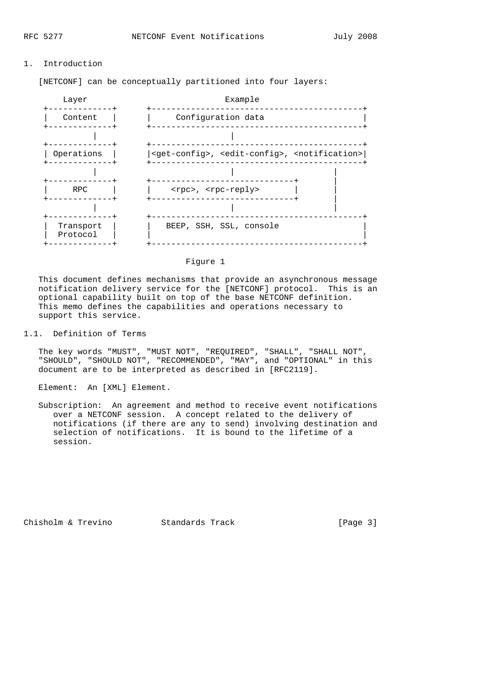### 1. Introduction

[NETCONF] can be conceptually partitioned into four layers:



#### Figure 1

 This document defines mechanisms that provide an asynchronous message notification delivery service for the [NETCONF] protocol. This is an optional capability built on top of the base NETCONF definition. This memo defines the capabilities and operations necessary to support this service.

### 1.1. Definition of Terms

 The key words "MUST", "MUST NOT", "REQUIRED", "SHALL", "SHALL NOT", "SHOULD", "SHOULD NOT", "RECOMMENDED", "MAY", and "OPTIONAL" in this document are to be interpreted as described in [RFC2119].

Element: An [XML] Element.

 Subscription: An agreement and method to receive event notifications over a NETCONF session. A concept related to the delivery of notifications (if there are any to send) involving destination and selection of notifications. It is bound to the lifetime of a session.

Chisholm & Trevino Standards Track [Page 3]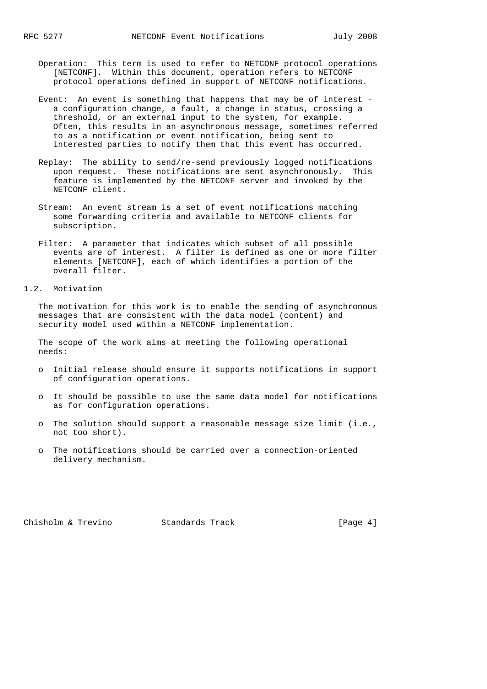- Operation: This term is used to refer to NETCONF protocol operations [NETCONF]. Within this document, operation refers to NETCONF protocol operations defined in support of NETCONF notifications.
- Event: An event is something that happens that may be of interest a configuration change, a fault, a change in status, crossing a threshold, or an external input to the system, for example. Often, this results in an asynchronous message, sometimes referred to as a notification or event notification, being sent to interested parties to notify them that this event has occurred.
- Replay: The ability to send/re-send previously logged notifications upon request. These notifications are sent asynchronously. This feature is implemented by the NETCONF server and invoked by the NETCONF client.
- Stream: An event stream is a set of event notifications matching some forwarding criteria and available to NETCONF clients for subscription.
- Filter: A parameter that indicates which subset of all possible events are of interest. A filter is defined as one or more filter elements [NETCONF], each of which identifies a portion of the overall filter.
- 1.2. Motivation

 The motivation for this work is to enable the sending of asynchronous messages that are consistent with the data model (content) and security model used within a NETCONF implementation.

 The scope of the work aims at meeting the following operational needs:

- o Initial release should ensure it supports notifications in support of configuration operations.
- o It should be possible to use the same data model for notifications as for configuration operations.
- o The solution should support a reasonable message size limit (i.e., not too short).
- o The notifications should be carried over a connection-oriented delivery mechanism.

Chisholm & Trevino Standards Track [Page 4]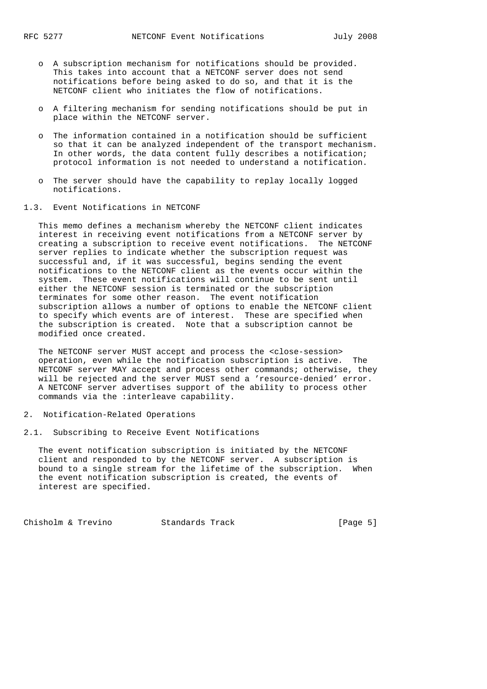- o A subscription mechanism for notifications should be provided. This takes into account that a NETCONF server does not send notifications before being asked to do so, and that it is the NETCONF client who initiates the flow of notifications.
- o A filtering mechanism for sending notifications should be put in place within the NETCONF server.
- o The information contained in a notification should be sufficient so that it can be analyzed independent of the transport mechanism. In other words, the data content fully describes a notification; protocol information is not needed to understand a notification.
- o The server should have the capability to replay locally logged notifications.
- 1.3. Event Notifications in NETCONF

 This memo defines a mechanism whereby the NETCONF client indicates interest in receiving event notifications from a NETCONF server by creating a subscription to receive event notifications. The NETCONF server replies to indicate whether the subscription request was successful and, if it was successful, begins sending the event notifications to the NETCONF client as the events occur within the system. These event notifications will continue to be sent until either the NETCONF session is terminated or the subscription terminates for some other reason. The event notification subscription allows a number of options to enable the NETCONF client to specify which events are of interest. These are specified when the subscription is created. Note that a subscription cannot be modified once created.

 The NETCONF server MUST accept and process the <close-session> operation, even while the notification subscription is active. The NETCONF server MAY accept and process other commands; otherwise, they will be rejected and the server MUST send a 'resource-denied' error. A NETCONF server advertises support of the ability to process other commands via the :interleave capability.

- 2. Notification-Related Operations
- 2.1. Subscribing to Receive Event Notifications

 The event notification subscription is initiated by the NETCONF client and responded to by the NETCONF server. A subscription is bound to a single stream for the lifetime of the subscription. When the event notification subscription is created, the events of interest are specified.

Chisholm & Trevino Standards Track [Page 5]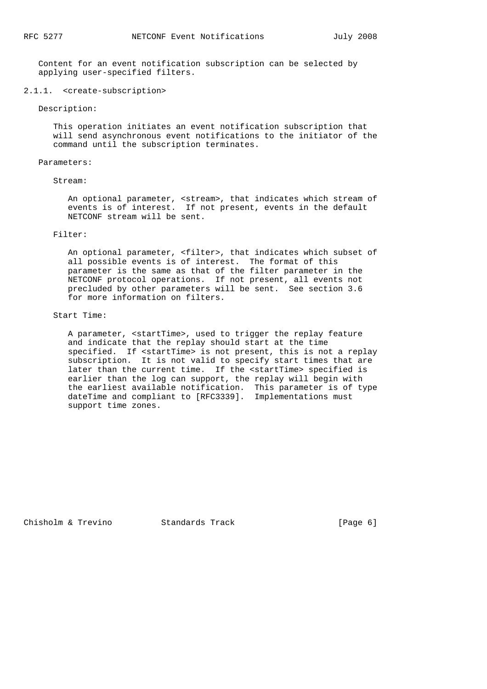Content for an event notification subscription can be selected by applying user-specified filters.

#### 2.1.1. <create-subscription>

Description:

 This operation initiates an event notification subscription that will send asynchronous event notifications to the initiator of the command until the subscription terminates.

#### Parameters:

#### Stream:

 An optional parameter, <stream>, that indicates which stream of events is of interest. If not present, events in the default NETCONF stream will be sent.

### Filter:

 An optional parameter, <filter>, that indicates which subset of all possible events is of interest. The format of this parameter is the same as that of the filter parameter in the NETCONF protocol operations. If not present, all events not precluded by other parameters will be sent. See section 3.6 for more information on filters.

#### Start Time:

 A parameter, <startTime>, used to trigger the replay feature and indicate that the replay should start at the time specified. If <startTime> is not present, this is not a replay subscription. It is not valid to specify start times that are later than the current time. If the <startTime> specified is earlier than the log can support, the replay will begin with the earliest available notification. This parameter is of type dateTime and compliant to [RFC3339]. Implementations must support time zones.

Chisholm & Trevino Standards Track [Page 6]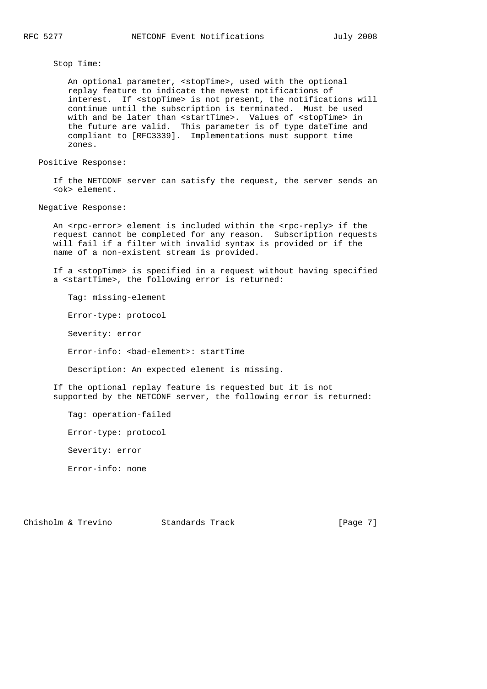Stop Time:

 An optional parameter, <stopTime>, used with the optional replay feature to indicate the newest notifications of interest. If <stopTime> is not present, the notifications will continue until the subscription is terminated. Must be used with and be later than <startTime>. Values of <stopTime> in the future are valid. This parameter is of type dateTime and compliant to [RFC3339]. Implementations must support time zones.

Positive Response:

 If the NETCONF server can satisfy the request, the server sends an <ok> element.

Negative Response:

An <rpc-error> element is included within the <rpc-reply> if the request cannot be completed for any reason. Subscription requests will fail if a filter with invalid syntax is provided or if the name of a non-existent stream is provided.

 If a <stopTime> is specified in a request without having specified a <startTime>, the following error is returned:

Tag: missing-element

Error-type: protocol

Severity: error

Error-info: <bad-element>: startTime

Description: An expected element is missing.

 If the optional replay feature is requested but it is not supported by the NETCONF server, the following error is returned:

Tag: operation-failed

Error-type: protocol

Severity: error

Error-info: none

Chisholm & Trevino Standards Track [Page 7]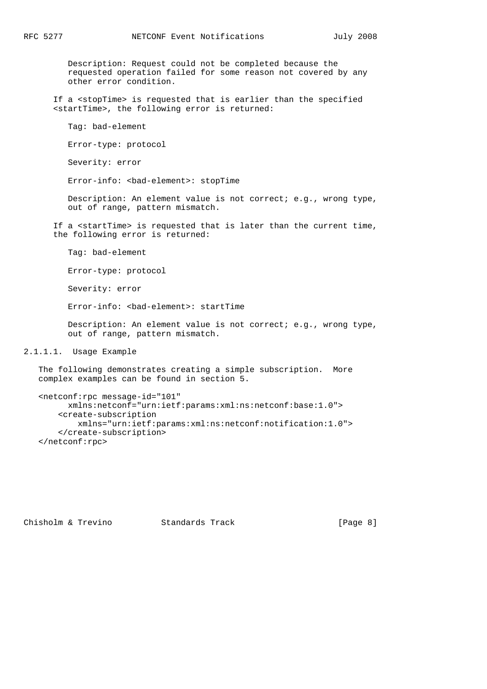Description: Request could not be completed because the requested operation failed for some reason not covered by any other error condition.

 If a <stopTime> is requested that is earlier than the specified <startTime>, the following error is returned:

Tag: bad-element

Error-type: protocol

Severity: error

Error-info: <bad-element>: stopTime

 Description: An element value is not correct; e.g., wrong type, out of range, pattern mismatch.

 If a <startTime> is requested that is later than the current time, the following error is returned:

Tag: bad-element

Error-type: protocol

Severity: error

Error-info: <bad-element>: startTime

 Description: An element value is not correct; e.g., wrong type, out of range, pattern mismatch.

```
2.1.1.1. Usage Example
```
 The following demonstrates creating a simple subscription. More complex examples can be found in section 5.

```
 <netconf:rpc message-id="101"
      xmlns:netconf="urn:ietf:params:xml:ns:netconf:base:1.0">
     <create-subscription
        xmlns="urn:ietf:params:xml:ns:netconf:notification:1.0">
     </create-subscription>
 </netconf:rpc>
```
Chisholm & Trevino Standards Track [Page 8]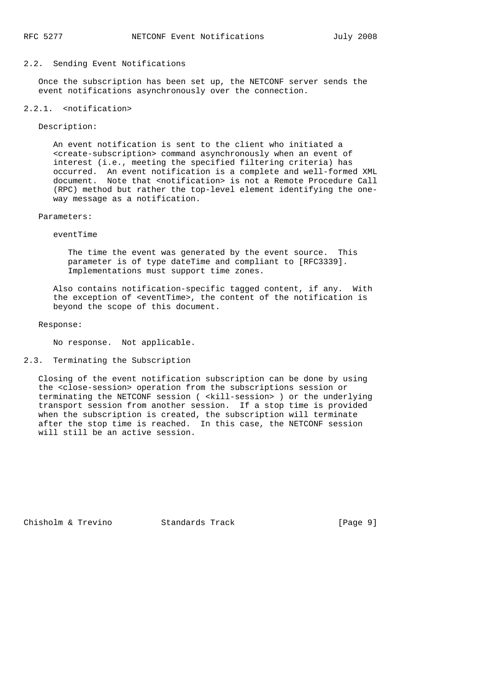### 2.2. Sending Event Notifications

 Once the subscription has been set up, the NETCONF server sends the event notifications asynchronously over the connection.

### 2.2.1. <notification>

Description:

 An event notification is sent to the client who initiated a <create-subscription> command asynchronously when an event of interest (i.e., meeting the specified filtering criteria) has occurred. An event notification is a complete and well-formed XML document. Note that <notification> is not a Remote Procedure Call (RPC) method but rather the top-level element identifying the one way message as a notification.

### Parameters:

eventTime

 The time the event was generated by the event source. This parameter is of type dateTime and compliant to [RFC3339]. Implementations must support time zones.

 Also contains notification-specific tagged content, if any. With the exception of <eventTime>, the content of the notification is beyond the scope of this document.

Response:

No response. Not applicable.

## 2.3. Terminating the Subscription

 Closing of the event notification subscription can be done by using the <close-session> operation from the subscriptions session or terminating the NETCONF session ( <kill-session> ) or the underlying transport session from another session. If a stop time is provided when the subscription is created, the subscription will terminate after the stop time is reached. In this case, the NETCONF session will still be an active session.

Chisholm & Trevino Standards Track [Page 9]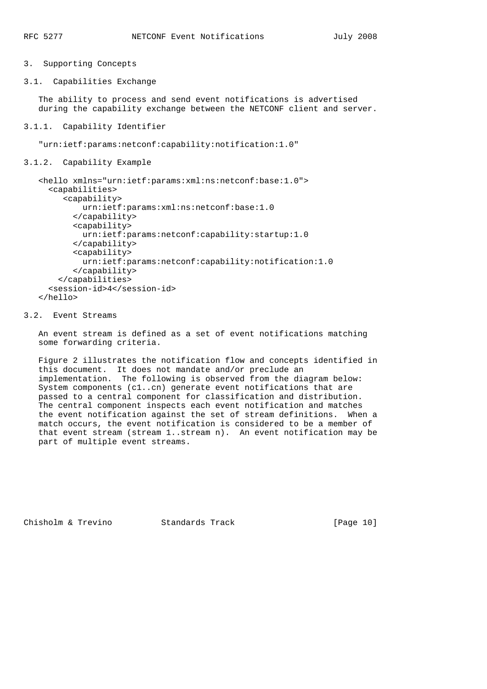# 3. Supporting Concepts

3.1. Capabilities Exchange

 The ability to process and send event notifications is advertised during the capability exchange between the NETCONF client and server.

3.1.1. Capability Identifier

"urn:ietf:params:netconf:capability:notification:1.0"

3.1.2. Capability Example

```
 <hello xmlns="urn:ietf:params:xml:ns:netconf:base:1.0">
   <capabilities>
      <capability>
          urn:ietf:params:xml:ns:netconf:base:1.0
        </capability>
        <capability>
          urn:ietf:params:netconf:capability:startup:1.0
        </capability>
        <capability>
          urn:ietf:params:netconf:capability:notification:1.0
        </capability>
     </capabilities>
   <session-id>4</session-id>
 </hello>
```
## 3.2. Event Streams

 An event stream is defined as a set of event notifications matching some forwarding criteria.

 Figure 2 illustrates the notification flow and concepts identified in this document. It does not mandate and/or preclude an implementation. The following is observed from the diagram below: System components (c1..cn) generate event notifications that are passed to a central component for classification and distribution. The central component inspects each event notification and matches the event notification against the set of stream definitions. When a match occurs, the event notification is considered to be a member of that event stream (stream 1..stream n). An event notification may be part of multiple event streams.

Chisholm & Trevino Standards Track [Page 10]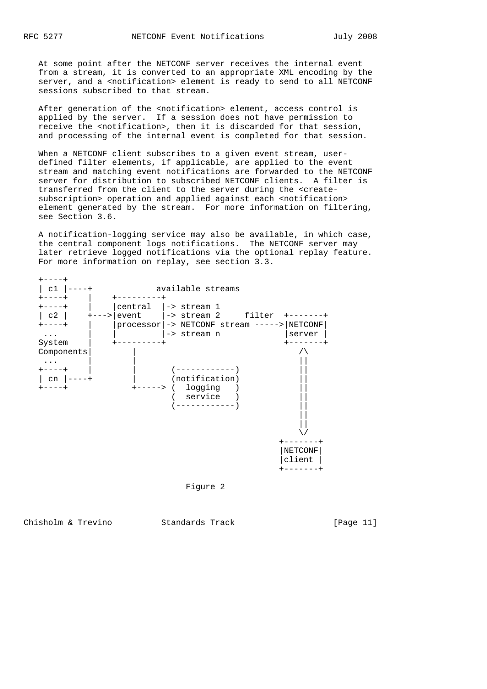At some point after the NETCONF server receives the internal event from a stream, it is converted to an appropriate XML encoding by the server, and a <notification> element is ready to send to all NETCONF sessions subscribed to that stream.

 After generation of the <notification> element, access control is applied by the server. If a session does not have permission to receive the <notification>, then it is discarded for that session, and processing of the internal event is completed for that session.

When a NETCONF client subscribes to a given event stream, user defined filter elements, if applicable, are applied to the event stream and matching event notifications are forwarded to the NETCONF server for distribution to subscribed NETCONF clients. A filter is transferred from the client to the server during the <create subscription> operation and applied against each <notification> element generated by the stream. For more information on filtering, see Section 3.6.

 A notification-logging service may also be available, in which case, the central component logs notifications. The NETCONF server may later retrieve logged notifications via the optional replay feature. For more information on replay, see section 3.3.





Chisholm & Trevino Standards Track [Page 11]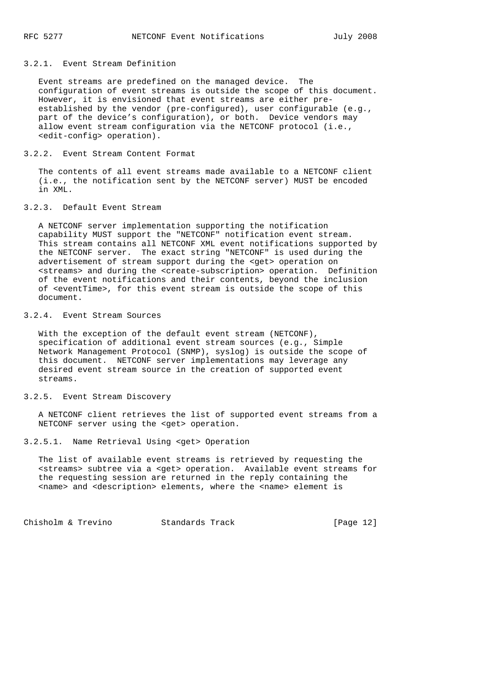## 3.2.1. Event Stream Definition

 Event streams are predefined on the managed device. The configuration of event streams is outside the scope of this document. However, it is envisioned that event streams are either pre established by the vendor (pre-configured), user configurable (e.g., part of the device's configuration), or both. Device vendors may allow event stream configuration via the NETCONF protocol (i.e., <edit-config> operation).

## 3.2.2. Event Stream Content Format

 The contents of all event streams made available to a NETCONF client (i.e., the notification sent by the NETCONF server) MUST be encoded in XML.

### 3.2.3. Default Event Stream

 A NETCONF server implementation supporting the notification capability MUST support the "NETCONF" notification event stream. This stream contains all NETCONF XML event notifications supported by the NETCONF server. The exact string "NETCONF" is used during the advertisement of stream support during the <get> operation on <streams> and during the <create-subscription> operation. Definition of the event notifications and their contents, beyond the inclusion of <eventTime>, for this event stream is outside the scope of this document.

## 3.2.4. Event Stream Sources

With the exception of the default event stream (NETCONF), specification of additional event stream sources (e.g., Simple Network Management Protocol (SNMP), syslog) is outside the scope of this document. NETCONF server implementations may leverage any desired event stream source in the creation of supported event streams.

## 3.2.5. Event Stream Discovery

 A NETCONF client retrieves the list of supported event streams from a NETCONF server using the <get> operation.

```
3.2.5.1. Name Retrieval Using <get> Operation
```
 The list of available event streams is retrieved by requesting the <streams> subtree via a <get> operation. Available event streams for the requesting session are returned in the reply containing the <name> and <description> elements, where the <name> element is

Chisholm & Trevino Standards Track [Page 12]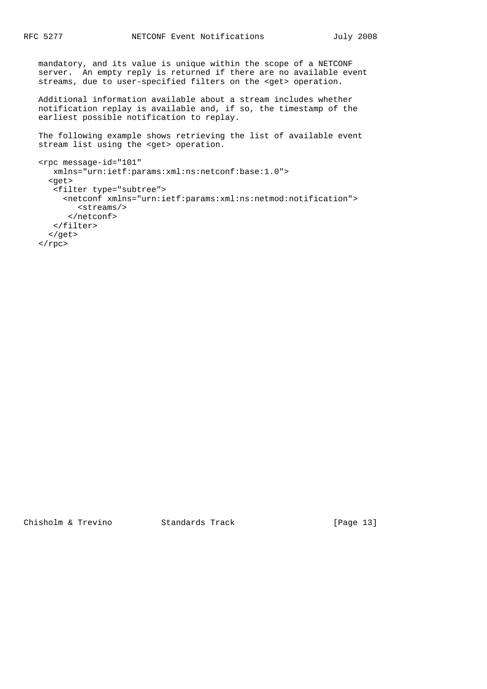mandatory, and its value is unique within the scope of a NETCONF server. An empty reply is returned if there are no available event streams, due to user-specified filters on the <get> operation.

 Additional information available about a stream includes whether notification replay is available and, if so, the timestamp of the earliest possible notification to replay.

 The following example shows retrieving the list of available event stream list using the <get> operation.

```
 <rpc message-id="101"
   xmlns="urn:ietf:params:xml:ns:netconf:base:1.0">
   <get>
    <filter type="subtree">
      <netconf xmlns="urn:ietf:params:xml:ns:netmod:notification">
         <streams/>
       </netconf>
    </filter>
   </get>
\langle / rpc
```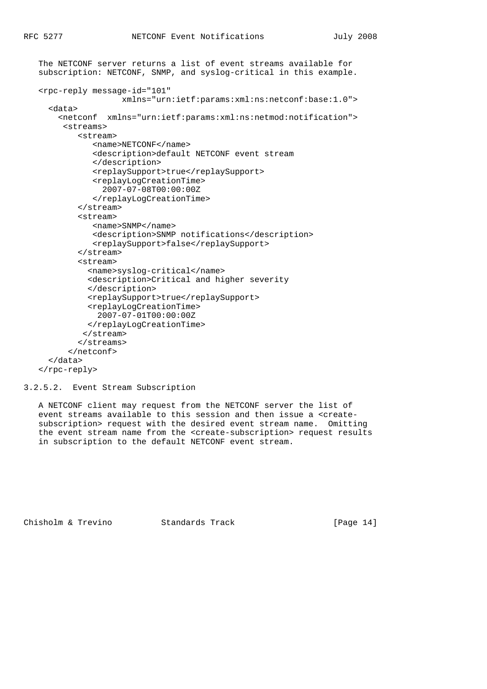```
 The NETCONF server returns a list of event streams available for
 subscription: NETCONF, SNMP, and syslog-critical in this example.
 <rpc-reply message-id="101"
                  xmlns="urn:ietf:params:xml:ns:netconf:base:1.0">
   <data>
     <netconf xmlns="urn:ietf:params:xml:ns:netmod:notification">
      <streams>
         <stream>
            <name>NETCONF</name>
            <description>default NETCONF event stream
            </description>
            <replaySupport>true</replaySupport>
            <replayLogCreationTime>
              2007-07-08T00:00:00Z
            </replayLogCreationTime>
         </stream>
         <stream>
            <name>SNMP</name>
            <description>SNMP notifications</description>
            <replaySupport>false</replaySupport>
         </stream>
         <stream>
           <name>syslog-critical</name>
           <description>Critical and higher severity
           </description>
          <replaySupport>true</replaySupport>
           <replayLogCreationTime>
             2007-07-01T00:00:00Z
           </replayLogCreationTime>
          </stream>
         </streams>
       </netconf>
   </data>
 </rpc-reply>
```
3.2.5.2. Event Stream Subscription

 A NETCONF client may request from the NETCONF server the list of event streams available to this session and then issue a <create subscription> request with the desired event stream name. Omitting the event stream name from the <create-subscription> request results in subscription to the default NETCONF event stream.

Chisholm & Trevino Standards Track [Page 14]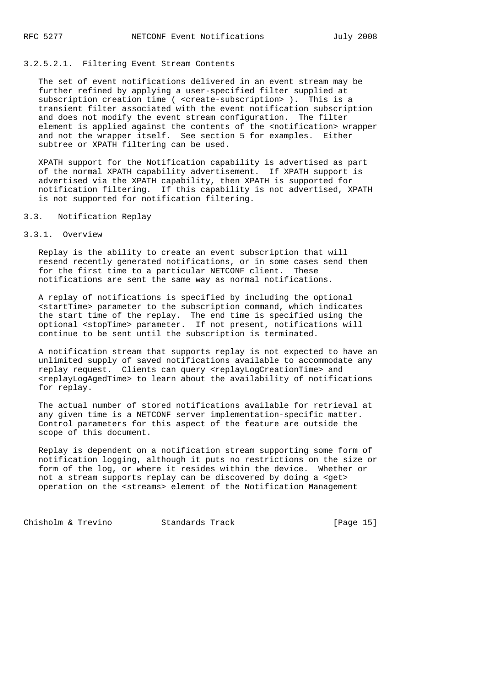# 3.2.5.2.1. Filtering Event Stream Contents

 The set of event notifications delivered in an event stream may be further refined by applying a user-specified filter supplied at subscription creation time ( <create-subscription> ). This is a transient filter associated with the event notification subscription and does not modify the event stream configuration. The filter element is applied against the contents of the <notification> wrapper and not the wrapper itself. See section 5 for examples. Either subtree or XPATH filtering can be used.

 XPATH support for the Notification capability is advertised as part of the normal XPATH capability advertisement. If XPATH support is advertised via the XPATH capability, then XPATH is supported for notification filtering. If this capability is not advertised, XPATH is not supported for notification filtering.

### 3.3. Notification Replay

### 3.3.1. Overview

 Replay is the ability to create an event subscription that will resend recently generated notifications, or in some cases send them for the first time to a particular NETCONF client. These notifications are sent the same way as normal notifications.

 A replay of notifications is specified by including the optional <startTime> parameter to the subscription command, which indicates the start time of the replay. The end time is specified using the optional <stopTime> parameter. If not present, notifications will continue to be sent until the subscription is terminated.

 A notification stream that supports replay is not expected to have an unlimited supply of saved notifications available to accommodate any replay request. Clients can query <replayLogCreationTime> and <replayLogAgedTime> to learn about the availability of notifications for replay.

 The actual number of stored notifications available for retrieval at any given time is a NETCONF server implementation-specific matter. Control parameters for this aspect of the feature are outside the scope of this document.

 Replay is dependent on a notification stream supporting some form of notification logging, although it puts no restrictions on the size or form of the log, or where it resides within the device. Whether or not a stream supports replay can be discovered by doing a <get> operation on the <streams> element of the Notification Management

Chisholm & Trevino Standards Track [Page 15]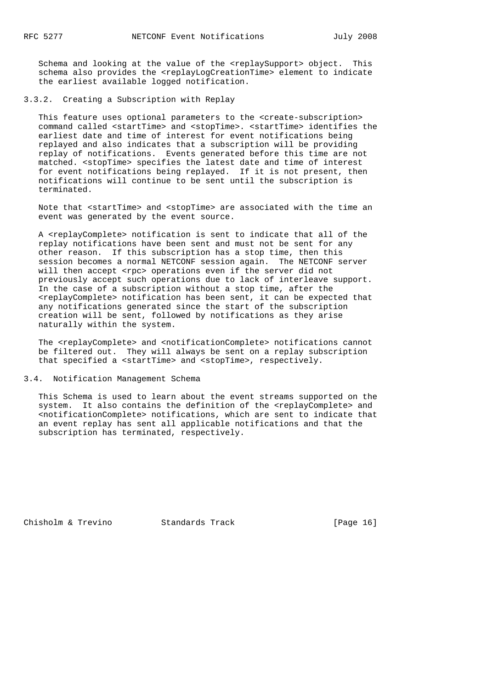Schema and looking at the value of the <replaySupport> object. This schema also provides the <replayLogCreationTime> element to indicate the earliest available logged notification.

3.3.2. Creating a Subscription with Replay

This feature uses optional parameters to the <create-subscription> command called <startTime> and <stopTime>. <startTime> identifies the earliest date and time of interest for event notifications being replayed and also indicates that a subscription will be providing replay of notifications. Events generated before this time are not matched. <stopTime> specifies the latest date and time of interest for event notifications being replayed. If it is not present, then notifications will continue to be sent until the subscription is terminated.

 Note that <startTime> and <stopTime> are associated with the time an event was generated by the event source.

 A <replayComplete> notification is sent to indicate that all of the replay notifications have been sent and must not be sent for any other reason. If this subscription has a stop time, then this session becomes a normal NETCONF session again. The NETCONF server will then accept <rpc> operations even if the server did not previously accept such operations due to lack of interleave support. In the case of a subscription without a stop time, after the <replayComplete> notification has been sent, it can be expected that any notifications generated since the start of the subscription creation will be sent, followed by notifications as they arise naturally within the system.

The <replayComplete> and <notificationComplete> notifications cannot be filtered out. They will always be sent on a replay subscription that specified a <startTime> and <stopTime>, respectively.

3.4. Notification Management Schema

 This Schema is used to learn about the event streams supported on the system. It also contains the definition of the <replayComplete> and <notificationComplete> notifications, which are sent to indicate that an event replay has sent all applicable notifications and that the subscription has terminated, respectively.

Chisholm & Trevino Standards Track [Page 16]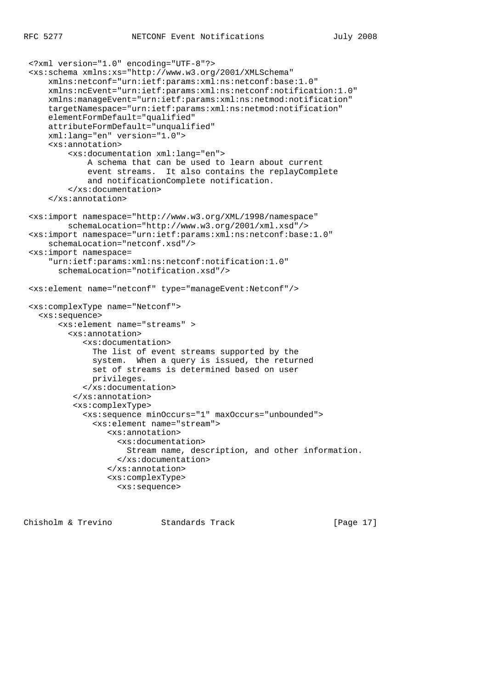```
 <?xml version="1.0" encoding="UTF-8"?>
 <xs:schema xmlns:xs="http://www.w3.org/2001/XMLSchema"
     xmlns:netconf="urn:ietf:params:xml:ns:netconf:base:1.0"
     xmlns:ncEvent="urn:ietf:params:xml:ns:netconf:notification:1.0"
     xmlns:manageEvent="urn:ietf:params:xml:ns:netmod:notification"
     targetNamespace="urn:ietf:params:xml:ns:netmod:notification"
     elementFormDefault="qualified"
     attributeFormDefault="unqualified"
     xml:lang="en" version="1.0">
     <xs:annotation>
         <xs:documentation xml:lang="en">
             A schema that can be used to learn about current
             event streams. It also contains the replayComplete
             and notificationComplete notification.
         </xs:documentation>
     </xs:annotation>
 <xs:import namespace="http://www.w3.org/XML/1998/namespace"
         schemaLocation="http://www.w3.org/2001/xml.xsd"/>
 <xs:import namespace="urn:ietf:params:xml:ns:netconf:base:1.0"
     schemaLocation="netconf.xsd"/>
 <xs:import namespace=
     "urn:ietf:params:xml:ns:netconf:notification:1.0"
       schemaLocation="notification.xsd"/>
 <xs:element name="netconf" type="manageEvent:Netconf"/>
 <xs:complexType name="Netconf">
   <xs:sequence>
       <xs:element name="streams" >
         <xs:annotation>
            <xs:documentation>
              The list of event streams supported by the
              system. When a query is issued, the returned
              set of streams is determined based on user
              privileges.
            </xs:documentation>
          </xs:annotation>
          <xs:complexType>
            <xs:sequence minOccurs="1" maxOccurs="unbounded">
              <xs:element name="stream">
                 <xs:annotation>
                   <xs:documentation>
                     Stream name, description, and other information.
                   </xs:documentation>
                 </xs:annotation>
                 <xs:complexType>
                   <xs:sequence>
```
Chisholm & Trevino Standards Track [Page 17]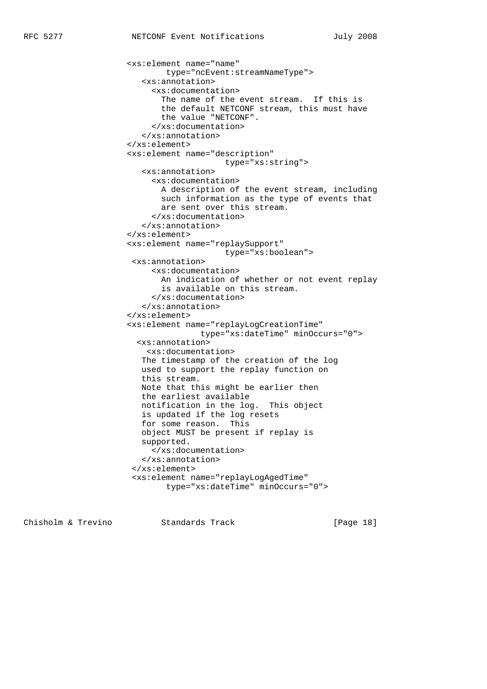```
 <xs:element name="name"
        type="ncEvent:streamNameType">
    <xs:annotation>
      <xs:documentation>
        The name of the event stream. If this is
        the default NETCONF stream, this must have
        the value "NETCONF".
      </xs:documentation>
    </xs:annotation>
 </xs:element>
 <xs:element name="description"
                     type="xs:string">
    <xs:annotation>
      <xs:documentation>
       A description of the event stream, including
       such information as the type of events that
       are sent over this stream.
      </xs:documentation>
    </xs:annotation>
 </xs:element>
 <xs:element name="replaySupport"
                     type="xs:boolean">
 <xs:annotation>
      <xs:documentation>
       An indication of whether or not event replay
        is available on this stream.
      </xs:documentation>
    </xs:annotation>
 </xs:element>
 <xs:element name="replayLogCreationTime"
                type="xs:dateTime" minOccurs="0">
   <xs:annotation>
    <xs:documentation>
   The timestamp of the creation of the log
   used to support the replay function on
    this stream.
   Note that this might be earlier then
    the earliest available
   notification in the log. This object
    is updated if the log resets
    for some reason. This
    object MUST be present if replay is
    supported.
      </xs:documentation>
    </xs:annotation>
  </xs:element>
  <xs:element name="replayLogAgedTime"
         type="xs:dateTime" minOccurs="0">
```
Chisholm & Trevino Standards Track [Page 18]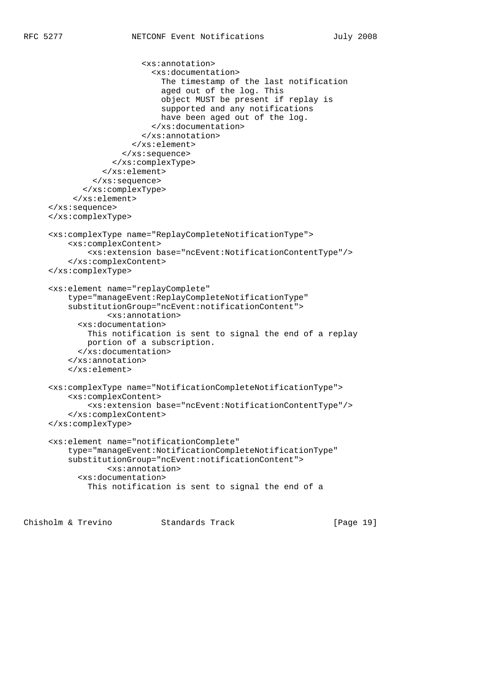```
 <xs:annotation>
                       <xs:documentation>
                         The timestamp of the last notification
                         aged out of the log. This
                         object MUST be present if replay is
                         supported and any notifications
                        have been aged out of the log.
                       </xs:documentation>
                     </xs:annotation>
                   </xs:element>
                </xs:sequence>
              </xs:complexType>
            </xs:element>
          </xs:sequence>
        </xs:complexType>
      </xs:element>
 </xs:sequence>
 </xs:complexType>
 <xs:complexType name="ReplayCompleteNotificationType">
     <xs:complexContent>
         <xs:extension base="ncEvent:NotificationContentType"/>
     </xs:complexContent>
 </xs:complexType>
 <xs:element name="replayComplete"
     type="manageEvent:ReplayCompleteNotificationType"
     substitutionGroup="ncEvent:notificationContent">
             <xs:annotation>
       <xs:documentation>
         This notification is sent to signal the end of a replay
         portion of a subscription.
       </xs:documentation>
     </xs:annotation>
     </xs:element>
 <xs:complexType name="NotificationCompleteNotificationType">
     <xs:complexContent>
         <xs:extension base="ncEvent:NotificationContentType"/>
     </xs:complexContent>
 </xs:complexType>
 <xs:element name="notificationComplete"
     type="manageEvent:NotificationCompleteNotificationType"
     substitutionGroup="ncEvent:notificationContent">
             <xs:annotation>
       <xs:documentation>
         This notification is sent to signal the end of a
```
Chisholm & Trevino Standards Track [Page 19]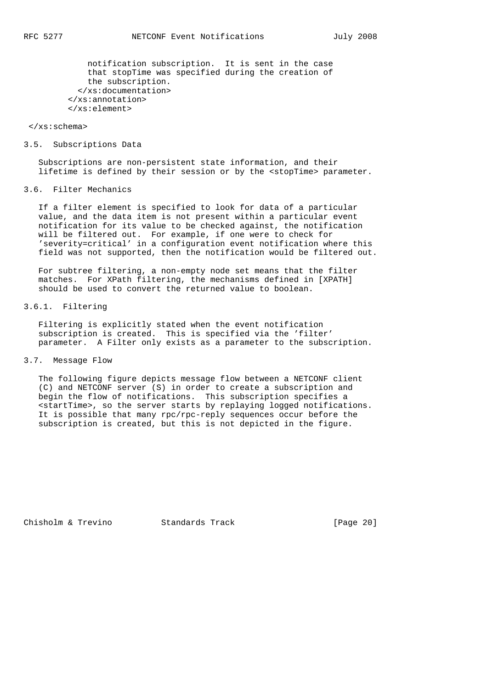notification subscription. It is sent in the case that stopTime was specified during the creation of the subscription. </xs:documentation> </xs:annotation> </xs:element>

#### </xs:schema>

#### 3.5. Subscriptions Data

 Subscriptions are non-persistent state information, and their lifetime is defined by their session or by the <stopTime> parameter.

# 3.6. Filter Mechanics

 If a filter element is specified to look for data of a particular value, and the data item is not present within a particular event notification for its value to be checked against, the notification will be filtered out. For example, if one were to check for 'severity=critical' in a configuration event notification where this field was not supported, then the notification would be filtered out.

 For subtree filtering, a non-empty node set means that the filter matches. For XPath filtering, the mechanisms defined in [XPATH] should be used to convert the returned value to boolean.

# 3.6.1. Filtering

 Filtering is explicitly stated when the event notification subscription is created. This is specified via the 'filter' parameter. A Filter only exists as a parameter to the subscription.

### 3.7. Message Flow

 The following figure depicts message flow between a NETCONF client (C) and NETCONF server (S) in order to create a subscription and begin the flow of notifications. This subscription specifies a <startTime>, so the server starts by replaying logged notifications. It is possible that many rpc/rpc-reply sequences occur before the subscription is created, but this is not depicted in the figure.

Chisholm & Trevino Standards Track [Page 20]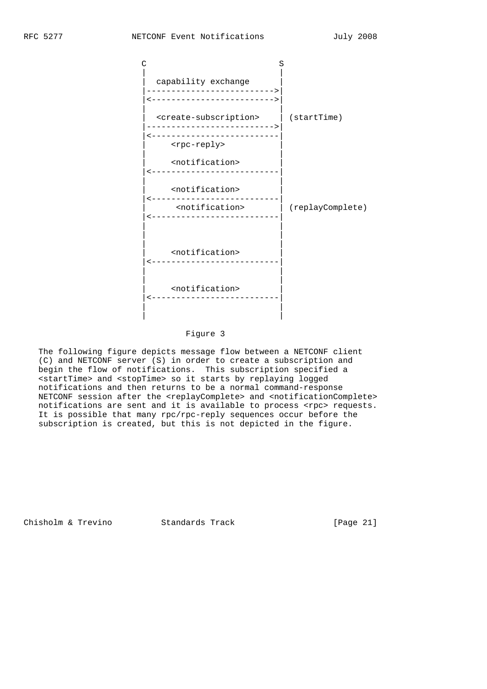

### Figure 3

 The following figure depicts message flow between a NETCONF client (C) and NETCONF server (S) in order to create a subscription and begin the flow of notifications. This subscription specified a <startTime> and <stopTime> so it starts by replaying logged notifications and then returns to be a normal command-response NETCONF session after the <replayComplete> and <notificationComplete> notifications are sent and it is available to process <rpc> requests. It is possible that many rpc/rpc-reply sequences occur before the subscription is created, but this is not depicted in the figure.

Chisholm & Trevino Standards Track [Page 21]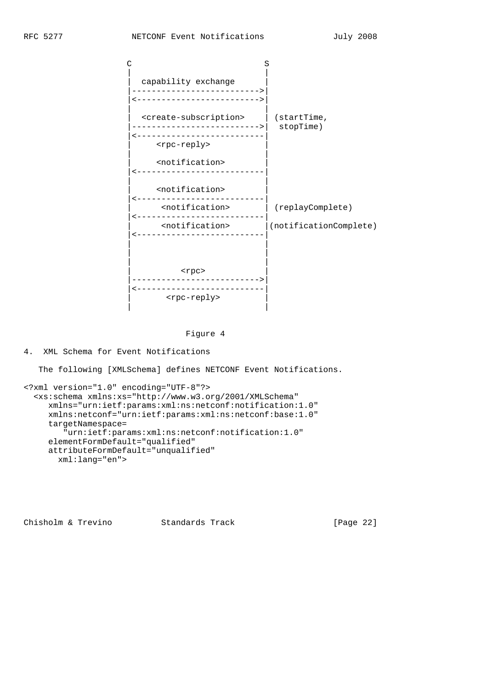

Figure 4

4. XML Schema for Event Notifications

The following [XMLSchema] defines NETCONF Event Notifications.

```
<?xml version="1.0" encoding="UTF-8"?>
   <xs:schema xmlns:xs="http://www.w3.org/2001/XMLSchema"
     xmlns="urn:ietf:params:xml:ns:netconf:notification:1.0"
     xmlns:netconf="urn:ietf:params:xml:ns:netconf:base:1.0"
     targetNamespace=
        "urn:ietf:params:xml:ns:netconf:notification:1.0"
     elementFormDefault="qualified"
     attributeFormDefault="unqualified"
       xml:lang="en">
```
Chisholm & Trevino Standards Track [Page 22]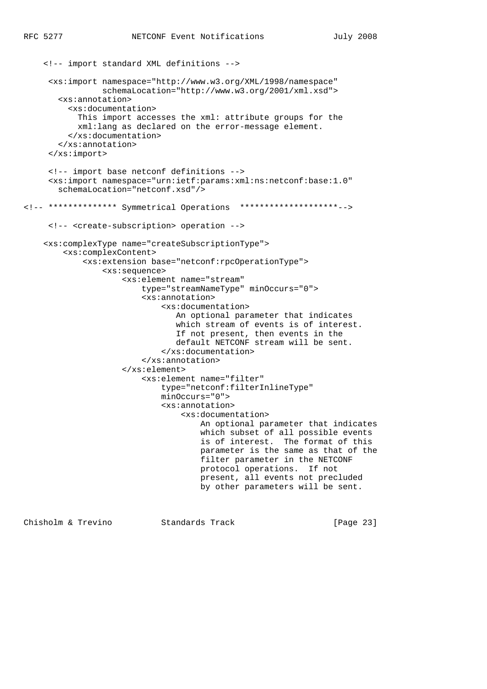```
 <!-- import standard XML definitions -->
      <xs:import namespace="http://www.w3.org/XML/1998/namespace"
                 schemaLocation="http://www.w3.org/2001/xml.xsd">
        <xs:annotation>
          <xs:documentation>
            This import accesses the xml: attribute groups for the
            xml:lang as declared on the error-message element.
          </xs:documentation>
        </xs:annotation>
      </xs:import>
      <!-- import base netconf definitions -->
      <xs:import namespace="urn:ietf:params:xml:ns:netconf:base:1.0"
        schemaLocation="netconf.xsd"/>
<!-- ************** Symmetrical Operations ********************-->
      <!-- <create-subscription> operation -->
     <xs:complexType name="createSubscriptionType">
         <xs:complexContent>
             <xs:extension base="netconf:rpcOperationType">
                 <xs:sequence>
                     <xs:element name="stream"
                          type="streamNameType" minOccurs="0">
                          <xs:annotation>
                              <xs:documentation>
                                 An optional parameter that indicates
                                 which stream of events is of interest.
                                 If not present, then events in the
                                 default NETCONF stream will be sent.
                              </xs:documentation>
                          </xs:annotation>
                     </xs:element>
                          <xs:element name="filter"
                              type="netconf:filterInlineType"
                              minOccurs="0">
                              <xs:annotation>
                                  <xs:documentation>
                                      An optional parameter that indicates
                                      which subset of all possible events
                                      is of interest. The format of this
                                      parameter is the same as that of the
                                      filter parameter in the NETCONF
                                      protocol operations. If not
                                      present, all events not precluded
                                      by other parameters will be sent.
```
Chisholm & Trevino Standards Track [Page 23]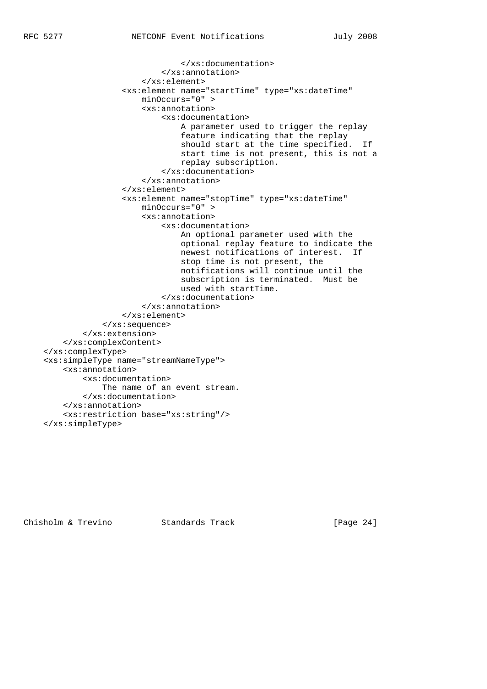```
 </xs:documentation>
                          </xs:annotation>
                      </xs:element>
                 <xs:element name="startTime" type="xs:dateTime"
                     minOccurs="0" >
                      <xs:annotation>
                          <xs:documentation>
                              A parameter used to trigger the replay
                              feature indicating that the replay
                              should start at the time specified. If
                              start time is not present, this is not a
                              replay subscription.
                          </xs:documentation>
                      </xs:annotation>
                 </xs:element>
                 <xs:element name="stopTime" type="xs:dateTime"
                     minOccurs="0" >
                      <xs:annotation>
                          <xs:documentation>
                              An optional parameter used with the
                              optional replay feature to indicate the
                              newest notifications of interest. If
                              stop time is not present, the
                              notifications will continue until the
                              subscription is terminated. Must be
                              used with startTime.
                          </xs:documentation>
                      </xs:annotation>
                 </xs:element>
             </xs:sequence>
         </xs:extension>
     </xs:complexContent>
 </xs:complexType>
 <xs:simpleType name="streamNameType">
     <xs:annotation>
         <xs:documentation>
             The name of an event stream.
         </xs:documentation>
     </xs:annotation>
     <xs:restriction base="xs:string"/>
 </xs:simpleType>
```
Chisholm & Trevino Standards Track [Page 24]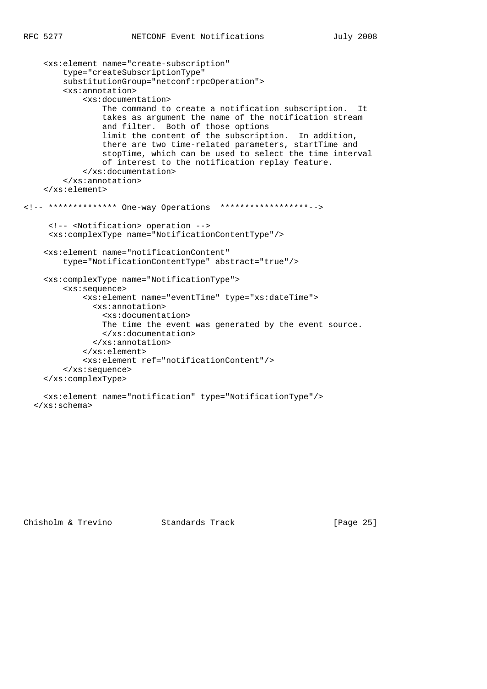```
 <xs:element name="create-subscription"
         type="createSubscriptionType"
         substitutionGroup="netconf:rpcOperation">
         <xs:annotation>
             <xs:documentation>
                 The command to create a notification subscription. It
                 takes as argument the name of the notification stream
                 and filter. Both of those options
                 limit the content of the subscription. In addition,
                 there are two time-related parameters, startTime and
                 stopTime, which can be used to select the time interval
                 of interest to the notification replay feature.
             </xs:documentation>
         </xs:annotation>
     </xs:element>
<!-- ************** One-way Operations ******************-->
      <!-- <Notification> operation -->
      <xs:complexType name="NotificationContentType"/>
     <xs:element name="notificationContent"
         type="NotificationContentType" abstract="true"/>
     <xs:complexType name="NotificationType">
         <xs:sequence>
             <xs:element name="eventTime" type="xs:dateTime">
               <xs:annotation>
                 <xs:documentation>
                 The time the event was generated by the event source.
                 </xs:documentation>
               </xs:annotation>
             </xs:element>
             <xs:element ref="notificationContent"/>
         </xs:sequence>
     </xs:complexType>
     <xs:element name="notification" type="NotificationType"/>
```

```
 </xs:schema>
```
Chisholm & Trevino Standards Track [Page 25]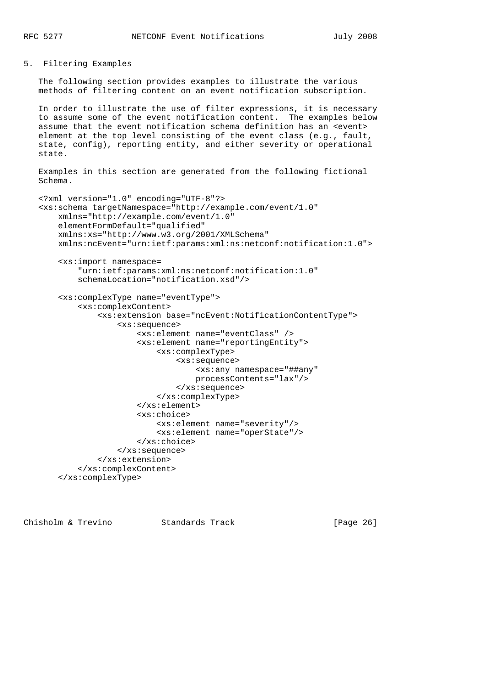### 5. Filtering Examples

 The following section provides examples to illustrate the various methods of filtering content on an event notification subscription.

 In order to illustrate the use of filter expressions, it is necessary to assume some of the event notification content. The examples below assume that the event notification schema definition has an <event> element at the top level consisting of the event class (e.g., fault, state, config), reporting entity, and either severity or operational state.

```
 Examples in this section are generated from the following fictional
 Schema.
```

```
 <?xml version="1.0" encoding="UTF-8"?>
 <xs:schema targetNamespace="http://example.com/event/1.0"
    xmlns="http://example.com/event/1.0"
    elementFormDefault="qualified"
    xmlns:xs="http://www.w3.org/2001/XMLSchema"
    xmlns:ncEvent="urn:ietf:params:xml:ns:netconf:notification:1.0">
     <xs:import namespace=
         "urn:ietf:params:xml:ns:netconf:notification:1.0"
         schemaLocation="notification.xsd"/>
     <xs:complexType name="eventType">
         <xs:complexContent>
             <xs:extension base="ncEvent:NotificationContentType">
                 <xs:sequence>
                      <xs:element name="eventClass" />
                      <xs:element name="reportingEntity">
                          <xs:complexType>
                              <xs:sequence>
                                  <xs:any namespace="##any"
                                  processContents="lax"/>
                              </xs:sequence>
                          </xs:complexType>
                      </xs:element>
                      <xs:choice>
                          <xs:element name="severity"/>
                          <xs:element name="operState"/>
                      </xs:choice>
                 </xs:sequence>
             </xs:extension>
         </xs:complexContent>
     </xs:complexType>
```
Chisholm & Trevino Standards Track [Page 26]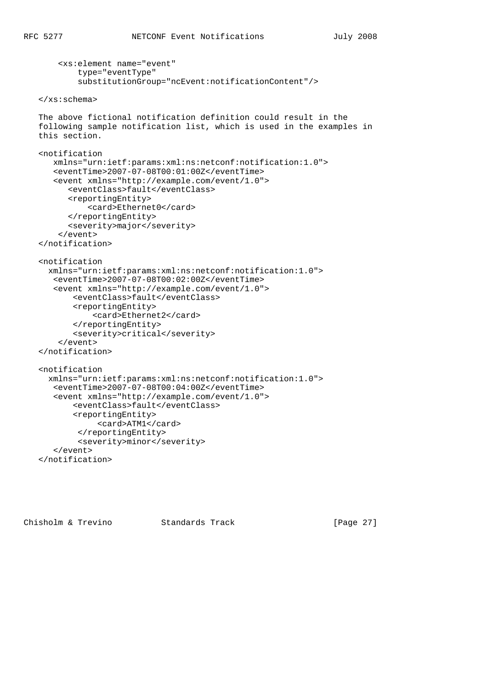```
 <xs:element name="event"
         type="eventType"
         substitutionGroup="ncEvent:notificationContent"/>
 </xs:schema>
 The above fictional notification definition could result in the
 following sample notification list, which is used in the examples in
 this section.
 <notification
    xmlns="urn:ietf:params:xml:ns:netconf:notification:1.0">
    <eventTime>2007-07-08T00:01:00Z</eventTime>
    <event xmlns="http://example.com/event/1.0">
       <eventClass>fault</eventClass>
       <reportingEntity>
           <card>Ethernet0</card>
       </reportingEntity>
       <severity>major</severity>
     </event>
 </notification>
 <notification
   xmlns="urn:ietf:params:xml:ns:netconf:notification:1.0">
    <eventTime>2007-07-08T00:02:00Z</eventTime>
    <event xmlns="http://example.com/event/1.0">
        <eventClass>fault</eventClass>
        <reportingEntity>
            <card>Ethernet2</card>
        </reportingEntity>
        <severity>critical</severity>
     </event>
 </notification>
 <notification
   xmlns="urn:ietf:params:xml:ns:netconf:notification:1.0">
    <eventTime>2007-07-08T00:04:00Z</eventTime>
    <event xmlns="http://example.com/event/1.0">
        <eventClass>fault</eventClass>
        <reportingEntity>
             <card>ATM1</card>
         </reportingEntity>
         <severity>minor</severity>
    </event>
 </notification>
```
Chisholm & Trevino Standards Track [Page 27]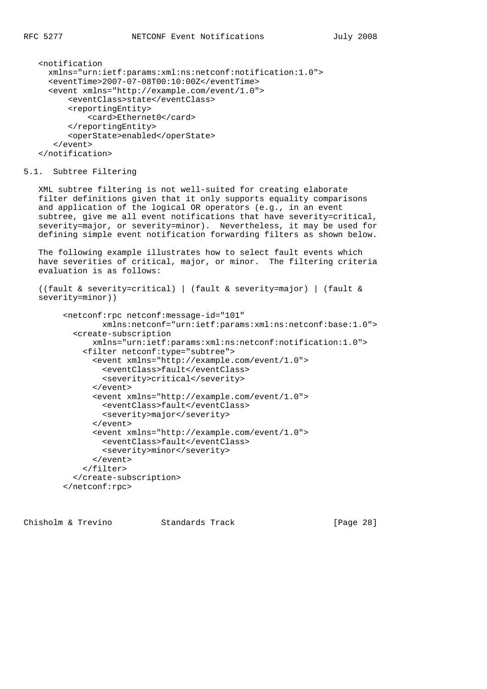```
 <notification
  xmlns="urn:ietf:params:xml:ns:netconf:notification:1.0">
  <eventTime>2007-07-08T00:10:00Z</eventTime>
   <event xmlns="http://example.com/event/1.0">
       <eventClass>state</eventClass>
       <reportingEntity>
          <card>Ethernet0</card>
       </reportingEntity>
       <operState>enabled</operState>
    </event>
 </notification>
```
### 5.1. Subtree Filtering

 XML subtree filtering is not well-suited for creating elaborate filter definitions given that it only supports equality comparisons and application of the logical OR operators (e.g., in an event subtree, give me all event notifications that have severity=critical, severity=major, or severity=minor). Nevertheless, it may be used for defining simple event notification forwarding filters as shown below.

 The following example illustrates how to select fault events which have severities of critical, major, or minor. The filtering criteria evaluation is as follows:

```
 ((fault & severity=critical) | (fault & severity=major) | (fault &
 severity=minor))
```

```
 <netconf:rpc netconf:message-id="101"
         xmlns:netconf="urn:ietf:params:xml:ns:netconf:base:1.0">
   <create-subscription
      xmlns="urn:ietf:params:xml:ns:netconf:notification:1.0">
     <filter netconf:type="subtree">
       <event xmlns="http://example.com/event/1.0">
         <eventClass>fault</eventClass>
         <severity>critical</severity>
       </event>
       <event xmlns="http://example.com/event/1.0">
         <eventClass>fault</eventClass>
         <severity>major</severity>
       </event>
       <event xmlns="http://example.com/event/1.0">
         <eventClass>fault</eventClass>
         <severity>minor</severity>
       </event>
     </filter>
   </create-subscription>
 </netconf:rpc>
```
Chisholm & Trevino Standards Track [Page 28]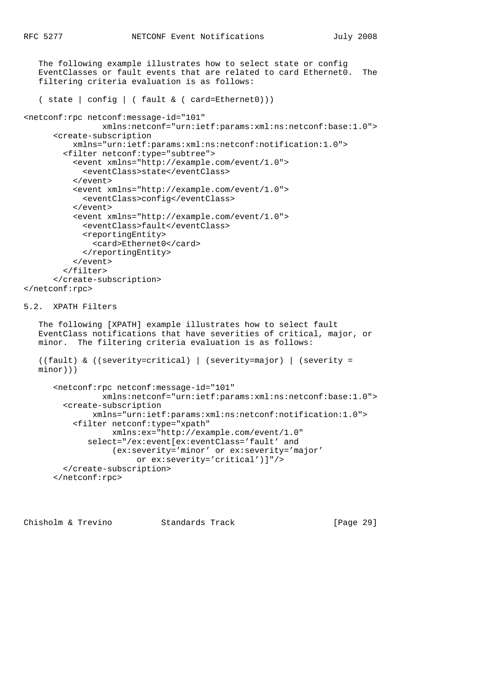```
 The following example illustrates how to select state or config
   EventClasses or fault events that are related to card Ethernet0. The
   filtering criteria evaluation is as follows:
    ( state | config | ( fault & ( card=Ethernet0)))
<netconf:rpc netconf:message-id="101"
                 xmlns:netconf="urn:ietf:params:xml:ns:netconf:base:1.0">
       <create-subscription
           xmlns="urn:ietf:params:xml:ns:netconf:notification:1.0">
         <filter netconf:type="subtree">
           <event xmlns="http://example.com/event/1.0">
             <eventClass>state</eventClass>
           </event>
           <event xmlns="http://example.com/event/1.0">
             <eventClass>config</eventClass>
           </event>
           <event xmlns="http://example.com/event/1.0">
             <eventClass>fault</eventClass>
             <reportingEntity>
               <card>Ethernet0</card>
             </reportingEntity>
           </event>
         </filter>
       </create-subscription>
</netconf:rpc>
5.2. XPATH Filters
   The following [XPATH] example illustrates how to select fault
   EventClass notifications that have severities of critical, major, or
   minor. The filtering criteria evaluation is as follows:
    ((fault) & ((severity=critical) | (severity=major) | (severity =
   minor)))
       <netconf:rpc netconf:message-id="101"
                 xmlns:netconf="urn:ietf:params:xml:ns:netconf:base:1.0">
         <create-subscription
               xmlns="urn:ietf:params:xml:ns:netconf:notification:1.0">
           <filter netconf:type="xpath"
                   xmlns:ex="http://example.com/event/1.0"
              select="/ex:event[ex:eventClass='fault' and
                   (ex:severity='minor' or ex:severity='major'
                        or ex:severity='critical')]"/>
         </create-subscription>
       </netconf:rpc>
```
Chisholm & Trevino Standards Track [Page 29]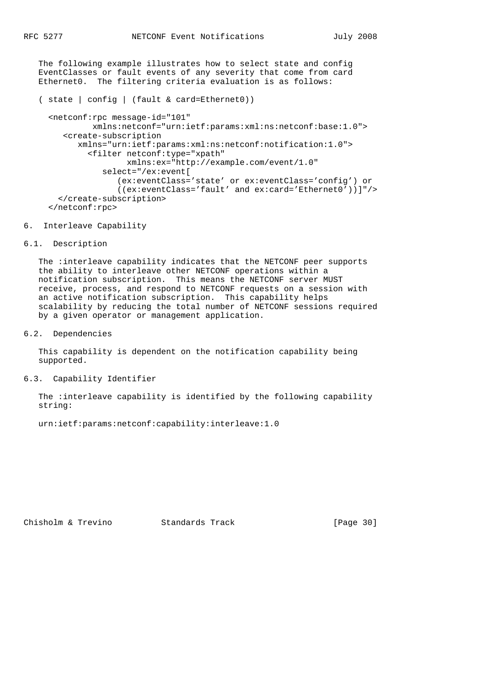The following example illustrates how to select state and config EventClasses or fault events of any severity that come from card Ethernet0. The filtering criteria evaluation is as follows:

```
 ( state | config | (fault & card=Ethernet0))
```
 <netconf:rpc message-id="101" xmlns:netconf="urn:ietf:params:xml:ns:netconf:base:1.0"> <create-subscription xmlns="urn:ietf:params:xml:ns:netconf:notification:1.0"> <filter netconf:type="xpath" xmlns:ex="http://example.com/event/1.0" select="/ex:event[ (ex:eventClass='state' or ex:eventClass='config') or ((ex:eventClass='fault' and ex:card='Ethernet0'))]"/> </create-subscription> </netconf:rpc>

#### 6. Interleave Capability

#### 6.1. Description

 The :interleave capability indicates that the NETCONF peer supports the ability to interleave other NETCONF operations within a notification subscription. This means the NETCONF server MUST receive, process, and respond to NETCONF requests on a session with an active notification subscription. This capability helps scalability by reducing the total number of NETCONF sessions required by a given operator or management application.

## 6.2. Dependencies

 This capability is dependent on the notification capability being supported.

## 6.3. Capability Identifier

 The :interleave capability is identified by the following capability string:

urn:ietf:params:netconf:capability:interleave:1.0

Chisholm & Trevino Standards Track [Page 30]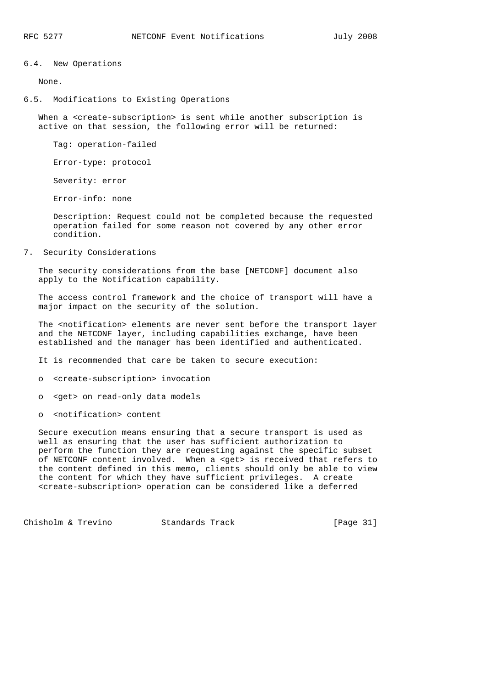#### 6.4. New Operations

None.

#### 6.5. Modifications to Existing Operations

When a <create-subscription> is sent while another subscription is active on that session, the following error will be returned:

Tag: operation-failed

Error-type: protocol

Severity: error

Error-info: none

 Description: Request could not be completed because the requested operation failed for some reason not covered by any other error condition.

7. Security Considerations

 The security considerations from the base [NETCONF] document also apply to the Notification capability.

 The access control framework and the choice of transport will have a major impact on the security of the solution.

 The <notification> elements are never sent before the transport layer and the NETCONF layer, including capabilities exchange, have been established and the manager has been identified and authenticated.

It is recommended that care be taken to secure execution:

o <create-subscription> invocation

o <get> on read-only data models

o <notification> content

 Secure execution means ensuring that a secure transport is used as well as ensuring that the user has sufficient authorization to perform the function they are requesting against the specific subset of NETCONF content involved. When a <get> is received that refers to the content defined in this memo, clients should only be able to view the content for which they have sufficient privileges. A create <create-subscription> operation can be considered like a deferred

Chisholm & Trevino Standards Track [Page 31]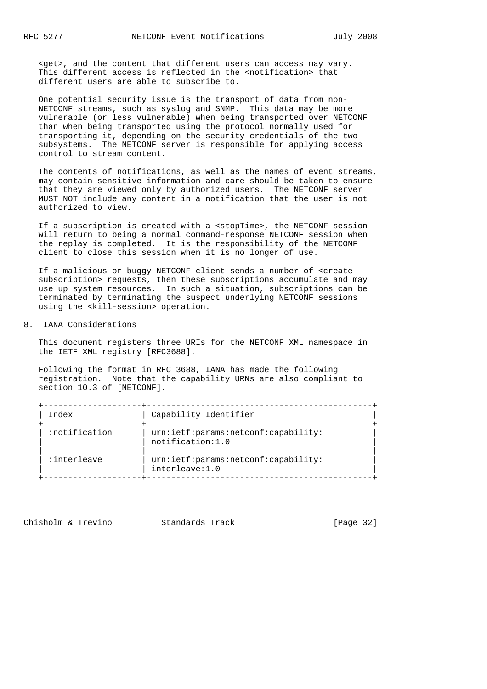<get>, and the content that different users can access may vary. This different access is reflected in the <notification> that different users are able to subscribe to.

 One potential security issue is the transport of data from non- NETCONF streams, such as syslog and SNMP. This data may be more vulnerable (or less vulnerable) when being transported over NETCONF than when being transported using the protocol normally used for transporting it, depending on the security credentials of the two subsystems. The NETCONF server is responsible for applying access control to stream content.

 The contents of notifications, as well as the names of event streams, may contain sensitive information and care should be taken to ensure that they are viewed only by authorized users. The NETCONF server MUST NOT include any content in a notification that the user is not authorized to view.

 If a subscription is created with a <stopTime>, the NETCONF session will return to being a normal command-response NETCONF session when the replay is completed. It is the responsibility of the NETCONF client to close this session when it is no longer of use.

 If a malicious or buggy NETCONF client sends a number of <create subscription> requests, then these subscriptions accumulate and may use up system resources. In such a situation, subscriptions can be terminated by terminating the suspect underlying NETCONF sessions using the <kill-session> operation.

## 8. IANA Considerations

 This document registers three URIs for the NETCONF XML namespace in the IETF XML registry [RFC3688].

 Following the format in RFC 3688, IANA has made the following registration. Note that the capability URNs are also compliant to section 10.3 of [NETCONF].

| Index         | Capability Identifier                                   |
|---------------|---------------------------------------------------------|
| :notification | urn:ietf:params:netconf:capability:<br>notification:1.0 |
| :interleave:  | urn:ietf:params:netconf:capability:<br>interleave:1.0   |

Chisholm & Trevino Standards Track [Page 32]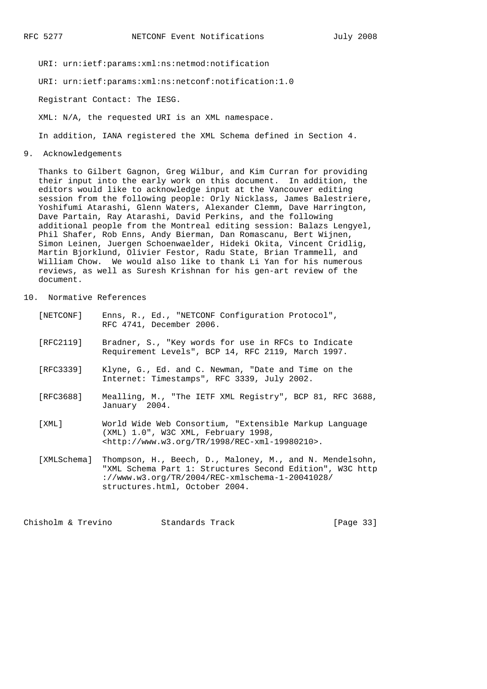URI: urn:ietf:params:xml:ns:netmod:notification

URI: urn:ietf:params:xml:ns:netconf:notification:1.0

Registrant Contact: The IESG.

XML: N/A, the requested URI is an XML namespace.

In addition, IANA registered the XML Schema defined in Section 4.

9. Acknowledgements

 Thanks to Gilbert Gagnon, Greg Wilbur, and Kim Curran for providing their input into the early work on this document. In addition, the editors would like to acknowledge input at the Vancouver editing session from the following people: Orly Nicklass, James Balestriere, Yoshifumi Atarashi, Glenn Waters, Alexander Clemm, Dave Harrington, Dave Partain, Ray Atarashi, David Perkins, and the following additional people from the Montreal editing session: Balazs Lengyel, Phil Shafer, Rob Enns, Andy Bierman, Dan Romascanu, Bert Wijnen, Simon Leinen, Juergen Schoenwaelder, Hideki Okita, Vincent Cridlig, Martin Bjorklund, Olivier Festor, Radu State, Brian Trammell, and William Chow. We would also like to thank Li Yan for his numerous reviews, as well as Suresh Krishnan for his gen-art review of the document.

10. Normative References

| [NETCONF]   | Enns, R., Ed., "NETCONF Configuration Protocol",<br>RFC 4741, December 2006.                                                                                                                              |
|-------------|-----------------------------------------------------------------------------------------------------------------------------------------------------------------------------------------------------------|
| [RFC2119]   | Bradner, S., "Key words for use in RFCs to Indicate<br>Requirement Levels", BCP 14, RFC 2119, March 1997.                                                                                                 |
| [RFC3339]   | Klyne, G., Ed. and C. Newman, "Date and Time on the<br>Internet: Timestamps", RFC 3339, July 2002.                                                                                                        |
| [RFC3688]   | Mealling, M., "The IETF XML Registry", BCP 81, RFC 3688,<br>January 2004.                                                                                                                                 |
| [XML]       | World Wide Web Consortium, "Extensible Markup Language<br>(XML) 1.0", W3C XML, February 1998,<br>$\text{chttp:}/\text{/www.w3.org/TR/1998/REC-xml-19980210>}$ .                                           |
| [XMLSchema] | Thompson, H., Beech, D., Maloney, M., and N. Mendelsohn,<br>"XML Schema Part 1: Structures Second Edition", W3C http<br>://www.w3.org/TR/2004/REC-xmlschema-1-20041028/<br>structures.html, October 2004. |

Chisholm & Trevino Standards Track [Page 33]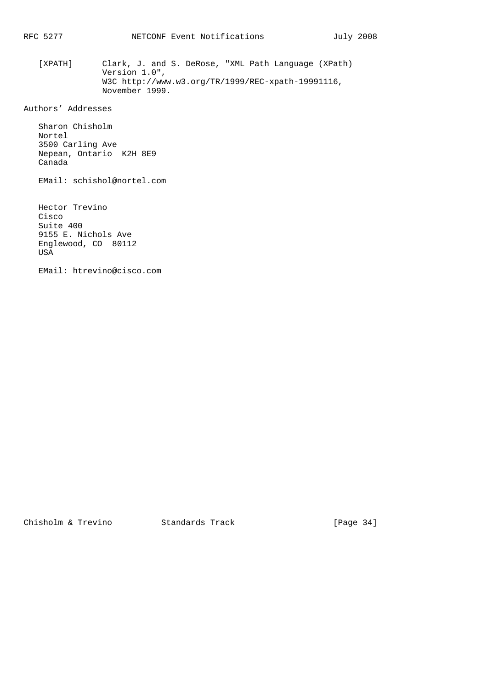[XPATH] Clark, J. and S. DeRose, "XML Path Language (XPath) Version 1.0", W3C http://www.w3.org/TR/1999/REC-xpath-19991116, November 1999.

Authors' Addresses

 Sharon Chisholm Nortel 3500 Carling Ave Nepean, Ontario K2H 8E9 Canada

EMail: schishol@nortel.com

 Hector Trevino Cisco Suite 400 9155 E. Nichols Ave Englewood, CO 80112 USA

EMail: htrevino@cisco.com